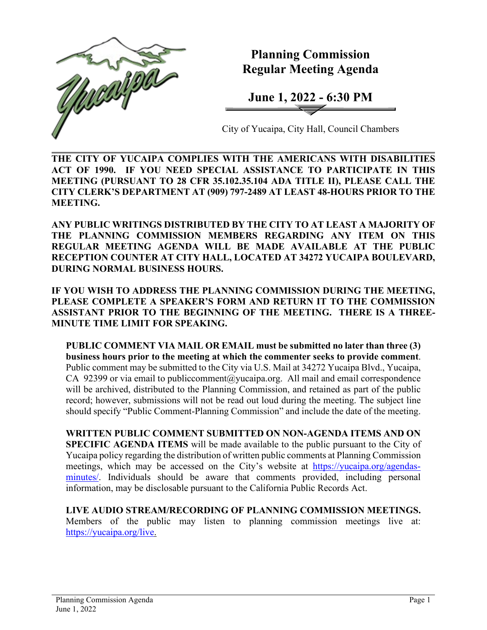

**Planning Commission Regular Meeting Agenda** 

**June 1, 2022 - 6:30 PM**

City of Yucaipa, City Hall, Council Chambers

**THE CITY OF YUCAIPA COMPLIES WITH THE AMERICANS WITH DISABILITIES ACT OF 1990. IF YOU NEED SPECIAL ASSISTANCE TO PARTICIPATE IN THIS MEETING (PURSUANT TO 28 CFR 35.102.35.104 ADA TITLE II), PLEASE CALL THE CITY CLERK'S DEPARTMENT AT (909) 797-2489 AT LEAST 48-HOURS PRIOR TO THE MEETING.**

**ANY PUBLIC WRITINGS DISTRIBUTED BY THE CITY TO AT LEAST A MAJORITY OF THE PLANNING COMMISSION MEMBERS REGARDING ANY ITEM ON THIS REGULAR MEETING AGENDA WILL BE MADE AVAILABLE AT THE PUBLIC RECEPTION COUNTER AT CITY HALL, LOCATED AT 34272 YUCAIPA BOULEVARD, DURING NORMAL BUSINESS HOURS.** 

**IF YOU WISH TO ADDRESS THE PLANNING COMMISSION DURING THE MEETING, PLEASE COMPLETE A SPEAKER'S FORM AND RETURN IT TO THE COMMISSION ASSISTANT PRIOR TO THE BEGINNING OF THE MEETING. THERE IS A THREE-MINUTE TIME LIMIT FOR SPEAKING.**

**PUBLIC COMMENT VIA MAIL OR EMAIL must be submitted no later than three (3) business hours prior to the meeting at which the commenter seeks to provide comment**. Public comment may be submitted to the City via U.S. Mail at 34272 Yucaipa Blvd., Yucaipa, CA 92399 or via email to [publiccomment@yucaipa.org.](mailto:publiccomment@yucaipa.org) All mail and email correspondence will be archived, distributed to the Planning Commission, and retained as part of the public record; however, submissions will not be read out loud during the meeting. The subject line should specify "Public Comment-Planning Commission" and include the date of the meeting.

**WRITTEN PUBLIC COMMENT SUBMITTED ON NON-AGENDA ITEMS AND ON SPECIFIC AGENDA ITEMS** will be made available to the public pursuant to the City of Yucaipa policy regarding the distribution of written public comments at Planning Commission meetings, which may be accessed on the City's website at [https://yucaipa.org/agendas](https://yucaipa.org/agendas-minutes/)[minutes/.](https://yucaipa.org/agendas-minutes/) Individuals should be aware that comments provided, including personal information, may be disclosable pursuant to the California Public Records Act.

**LIVE AUDIO STREAM/RECORDING OF PLANNING COMMISSION MEETINGS.**  Members of the public may listen to planning commission meetings live at: [https://yucaipa.org/live.](https://yucaipa.org/live)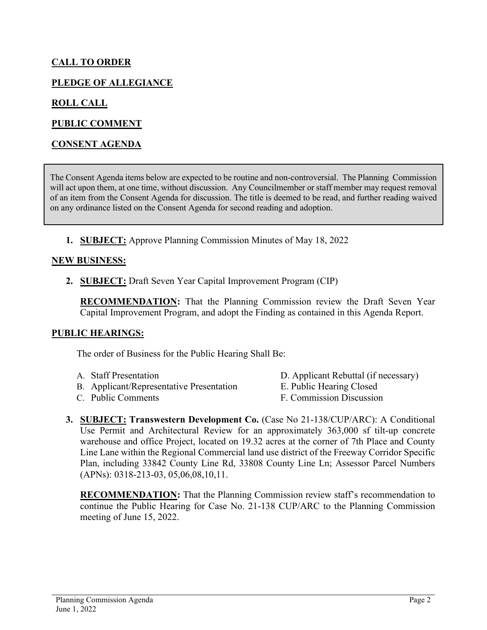# **CALL TO ORDER**

## **PLEDGE OF ALLEGIANCE**

## **ROLL CALL**

### **PUBLIC COMMENT**

### **CONSENT AGENDA**

The Consent Agenda items below are expected to be routine and non-controversial. The Planning Commission will act upon them, at one time, without discussion. Any Councilmember or staff member may request removal of an item from the Consent Agenda for discussion. The title is deemed to be read, and further reading waived on any ordinance listed on the Consent Agenda for second reading and adoption.

**1. SUBJECT:** Approve Planning Commission Minutes of May 18, 2022

#### **NEW BUSINESS:**

**2. SUBJECT:** Draft Seven Year Capital Improvement Program (CIP)

**RECOMMENDATION:** That the Planning Commission review the Draft Seven Year Capital Improvement Program, and adopt the Finding as contained in this Agenda Report.

#### **PUBLIC HEARINGS:**

The order of Business for the Public Hearing Shall Be:

- 
- B. Applicant/Representative Presentation E. Public Hearing Closed
- C. Public Comments F. Commission Discussion
- A. Staff Presentation D. Applicant Rebuttal (if necessary)

- 
- **3. SUBJECT: Transwestern Development Co.** (Case No 21-138/CUP/ARC): A Conditional Use Permit and Architectural Review for an approximately 363,000 sf tilt-up concrete warehouse and office Project, located on 19.32 acres at the corner of 7th Place and County Line Lane within the Regional Commercial land use district of the Freeway Corridor Specific Plan, including 33842 County Line Rd, 33808 County Line Ln; Assessor Parcel Numbers (APNs): 0318-213-03, 05,06,08,10,11.

**RECOMMENDATION:** That the Planning Commission review staff's recommendation to continue the Public Hearing for Case No. 21-138 CUP/ARC to the Planning Commission meeting of June 15, 2022.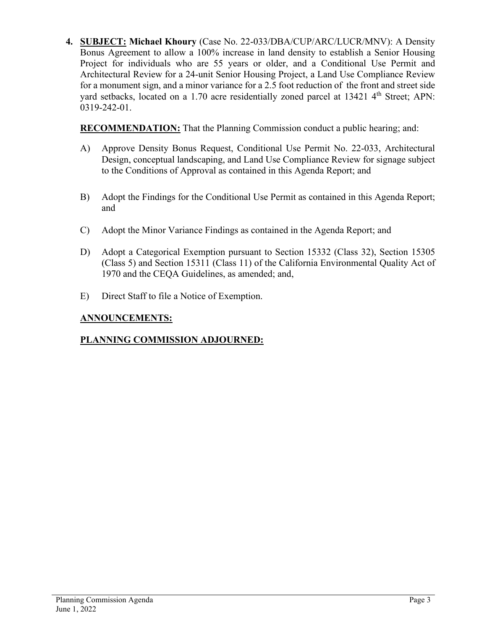**4. SUBJECT: Michael Khoury** (Case No. 22-033/DBA/CUP/ARC/LUCR/MNV): A Density Bonus Agreement to allow a 100% increase in land density to establish a Senior Housing Project for individuals who are 55 years or older, and a Conditional Use Permit and Architectural Review for a 24-unit Senior Housing Project, a Land Use Compliance Review for a monument sign, and a minor variance for a 2.5 foot reduction of the front and street side yard setbacks, located on a 1.70 acre residentially zoned parcel at 13421 4<sup>th</sup> Street; APN: 0319-242-01.

**RECOMMENDATION:** That the Planning Commission conduct a public hearing; and:

- A) Approve Density Bonus Request, Conditional Use Permit No. 22-033, Architectural Design, conceptual landscaping, and Land Use Compliance Review for signage subject to the Conditions of Approval as contained in this Agenda Report; and
- B) Adopt the Findings for the Conditional Use Permit as contained in this Agenda Report; and
- C) Adopt the Minor Variance Findings as contained in the Agenda Report; and
- D) Adopt a Categorical Exemption pursuant to Section 15332 (Class 32), Section 15305 (Class 5) and Section 15311 (Class 11) of the California Environmental Quality Act of 1970 and the CEQA Guidelines, as amended; and,
- E) Direct Staff to file a Notice of Exemption.

# **ANNOUNCEMENTS:**

# **PLANNING COMMISSION ADJOURNED:**